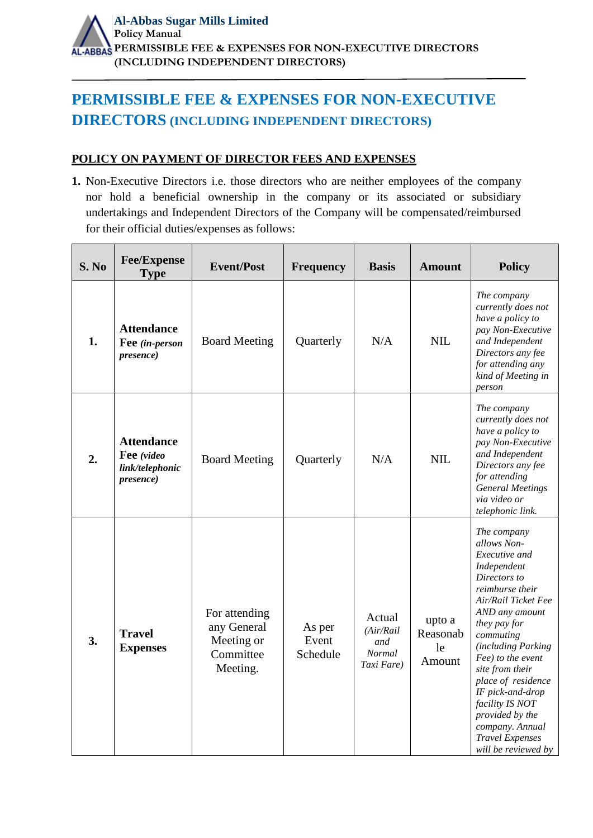## **PERMISSIBLE FEE & EXPENSES FOR NON-EXECUTIVE DIRECTORS (INCLUDING INDEPENDENT DIRECTORS)**

## **POLICY ON PAYMENT OF DIRECTOR FEES AND EXPENSES**

**1.** Non-Executive Directors i.e. those directors who are neither employees of the company nor hold a beneficial ownership in the company or its associated or subsidiary undertakings and Independent Directors of the Company will be compensated/reimbursed for their official duties/expenses as follows:

| S. No | <b>Fee/Expense</b><br><b>Type</b>                                       | <b>Event/Post</b>                                                   | <b>Frequency</b>            | <b>Basis</b>                                              | <b>Amount</b>                      | <b>Policy</b>                                                                                                                                                                                                                                                                                                                                                                         |
|-------|-------------------------------------------------------------------------|---------------------------------------------------------------------|-----------------------------|-----------------------------------------------------------|------------------------------------|---------------------------------------------------------------------------------------------------------------------------------------------------------------------------------------------------------------------------------------------------------------------------------------------------------------------------------------------------------------------------------------|
| 1.    | <b>Attendance</b><br>Fee (in-person<br>presence)                        | <b>Board Meeting</b>                                                | Quarterly                   | N/A                                                       | <b>NIL</b>                         | The company<br>currently does not<br>have a policy to<br>pay Non-Executive<br>and Independent<br>Directors any fee<br>for attending any<br>kind of Meeting in<br>person                                                                                                                                                                                                               |
| 2.    | <b>Attendance</b><br>Fee (video<br>link/telephonic<br><i>presence</i> ) | <b>Board Meeting</b>                                                | Quarterly                   | N/A                                                       | <b>NIL</b>                         | The company<br>currently does not<br>have a policy to<br>pay Non-Executive<br>and Independent<br>Directors any fee<br>for attending<br><b>General Meetings</b><br>via video or<br>telephonic link.                                                                                                                                                                                    |
| 3.    | <b>Travel</b><br><b>Expenses</b>                                        | For attending<br>any General<br>Meeting or<br>Committee<br>Meeting. | As per<br>Event<br>Schedule | Actual<br>(Air/Rail<br>and<br><b>Normal</b><br>Taxi Fare) | upto a<br>Reasonab<br>le<br>Amount | The company<br>allows Non-<br>Executive and<br>Independent<br>Directors to<br>reimburse their<br>Air/Rail Ticket Fee<br>AND any amount<br>they pay for<br>commuting<br>(including Parking<br>Fee) to the event<br>site from their<br>place of residence<br>IF pick-and-drop<br>facility IS NOT<br>provided by the<br>company. Annual<br><b>Travel Expenses</b><br>will be reviewed by |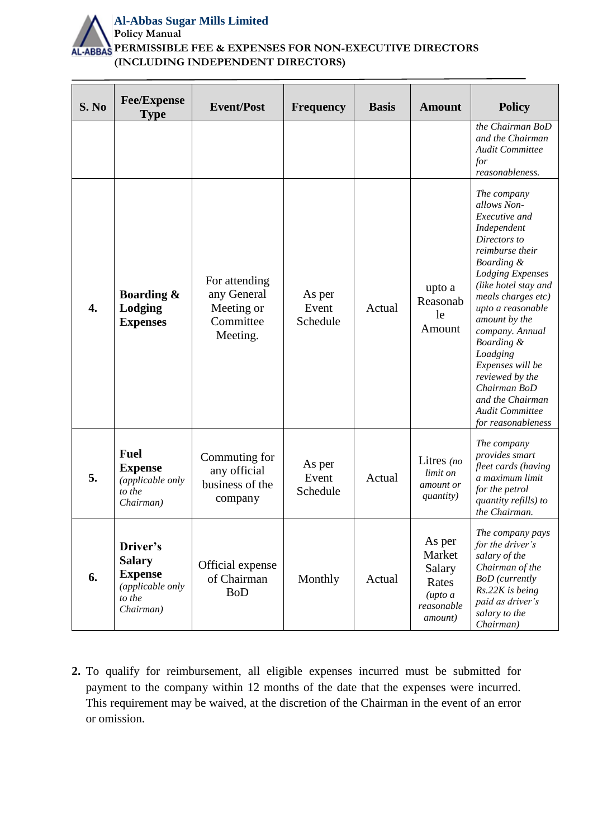

| S. No            | <b>Fee/Expense</b><br><b>Type</b>                                                      | <b>Event/Post</b>                                                   | <b>Frequency</b>            | <b>Basis</b> | <b>Amount</b>                                                                             | <b>Policy</b>                                                                                                                                                                                                                                                                                                                                                                                      |
|------------------|----------------------------------------------------------------------------------------|---------------------------------------------------------------------|-----------------------------|--------------|-------------------------------------------------------------------------------------------|----------------------------------------------------------------------------------------------------------------------------------------------------------------------------------------------------------------------------------------------------------------------------------------------------------------------------------------------------------------------------------------------------|
|                  |                                                                                        |                                                                     |                             |              |                                                                                           | the Chairman BoD<br>and the Chairman<br>Audit Committee<br>for<br>reasonableness.                                                                                                                                                                                                                                                                                                                  |
| $\overline{4}$ . | <b>Boarding &amp;</b><br>Lodging<br><b>Expenses</b>                                    | For attending<br>any General<br>Meeting or<br>Committee<br>Meeting. | As per<br>Event<br>Schedule | Actual       | upto a<br>Reasonab<br>le<br>Amount                                                        | The company<br>allows Non-<br>Executive and<br>Independent<br>Directors to<br>reimburse their<br>Boarding &<br><b>Lodging Expenses</b><br>(like hotel stay and<br>meals charges etc)<br>upto a reasonable<br>amount by the<br>company. Annual<br>Boarding &<br>Loadging<br>Expenses will be<br>reviewed by the<br>Chairman BoD<br>and the Chairman<br><b>Audit Committee</b><br>for reasonableness |
| 5.               | <b>Fuel</b><br><b>Expense</b><br>(applicable only<br>to the<br>Chairman)               | Commuting for<br>any official<br>business of the<br>company         | As per<br>Event<br>Schedule | Actual       | Litres (no<br>limit on<br>amount or<br><i>quantity</i> )                                  | The company<br>provides smart<br>fleet cards (having<br>a maximum limit<br>for the petrol<br>quantity refills) to<br>the Chairman.                                                                                                                                                                                                                                                                 |
| 6.               | Driver's<br><b>Salary</b><br><b>Expense</b><br>(applicable only<br>to the<br>Chairman) | Official expense<br>of Chairman<br><b>BoD</b>                       | Monthly                     | Actual       | As per<br>Market<br>Salary<br>Rates<br>$($ <i>upto a</i><br>reasonable<br><i>amount</i> ) | The company pays<br>for the driver's<br>salary of the<br>Chairman of the<br><b>BoD</b> (currently<br>Rs.22K is being<br>paid as driver's<br>salary to the<br>Chairman)                                                                                                                                                                                                                             |

**2.** To qualify for reimbursement, all eligible expenses incurred must be submitted for payment to the company within 12 months of the date that the expenses were incurred. This requirement may be waived, at the discretion of the Chairman in the event of an error or omission.